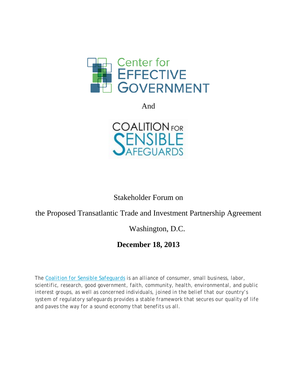

And



Stakeholder Forum on

## the Proposed Transatlantic Trade and Investment Partnership Agreement

Washington, D.C.

## **December 18, 2013**

*The [Coalition for Sensible Safeguards](http://www.sensiblesafeguards.org/) is an alliance of consumer, small business, labor, scientific, research, good government, faith, community, health, environmental, and public interest groups, as well as concerned individuals, joined in the belief that our country's system of regulatory safeguards provides a stable framework that secures our quality of life and paves the way for a sound economy that benefits us all.*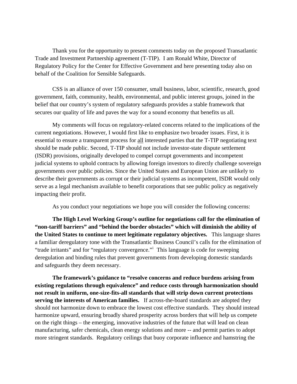Thank you for the opportunity to present comments today on the proposed Transatlantic Trade and Investment Partnership agreement (T-TIP). I am Ronald White, Director of Regulatory Policy for the Center for Effective Government and here presenting today also on behalf of the Coalition for Sensible Safeguards.

CSS is an alliance of over 150 consumer, small business, labor, scientific, research, good government, faith, community, health, environmental, and public interest groups, joined in the belief that our country's system of regulatory safeguards provides a stable framework that secures our quality of life and paves the way for a sound economy that benefits us all.

My comments will focus on regulatory-related concerns related to the implications of the current negotiations. However, I would first like to emphasize two broader issues. First, it is essential to ensure a transparent process for all interested parties that the T-TIP negotiating text should be made public. Second, T-TIP should not include investor-state dispute settlement (ISDR) provisions, originally developed to compel corrupt governments and incompetent judicial systems to uphold contracts by allowing foreign investors to directly challenge sovereign governments over public policies. Since the United States and European Union are unlikely to describe their governments as corrupt or their judicial systems as incompetent, ISDR would only serve as a legal mechanism available to benefit corporations that see public policy as negatively impacting their profit.

As you conduct your negotiations we hope you will consider the following concerns:

**The High Level Working Group's outline for negotiations call for the elimination of "non-tariff barriers" and "behind the border obstacles" which will diminish the ability of the United States to continue to meet legitimate regulatory objectives.** This language shares a familiar deregulatory tone with the Transatlantic Business Council's calls for the elimination of "trade [i](#page-2-0)rritants" and for "regulatory convergence." This language is code for sweeping deregulation and binding rules that prevent governments from developing domestic standards and safeguards they deem necessary.

**The framework's guidance to "resolve concerns and reduce burdens arising from existing regulations through equivalence" and reduce costs through harmonization should not result in uniform, one-size-fits-all standards that will strip down current protections serving the interests of American families.** If across-the-board standards are adopted they should not harmonize down to embrace the lowest cost effective standards. They should instead harmonize upward, ensuring broadly shared prosperity across borders that will help us compete on the right things – the emerging, innovative industries of the future that will lead on clean manufacturing, safer chemicals, clean energy solutions and more -- and permit parties to adopt more stringent standards. Regulatory ceilings that buoy corporate influence and hamstring the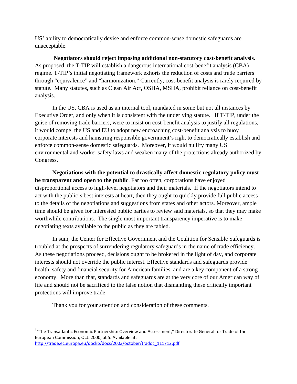US' ability to democratically devise and enforce common-sense domestic safeguards are unacceptable.

**Negotiators should reject imposing additional non-statutory cost-benefit analysis.**  As proposed, the T-TIP will establish a dangerous international cost-benefit analysis (CBA) regime. T-TIP's initial negotiating framework exhorts the reduction of costs and trade barriers through "equivalence" and "harmonization." Currently, cost-benefit analysis is rarely required by statute. Many statutes, such as Clean Air Act, OSHA, MSHA, prohibit reliance on cost-benefit analysis.

In the US, CBA is used as an internal tool, mandated in some but not all instances by Executive Order, and only when it is consistent with the underlying statute. If T-TIP, under the guise of removing trade barriers, were to insist on cost-benefit analysis to justify all regulations, it would compel the US and EU to adopt new encroaching cost-benefit analysis to buoy corporate interests and hamstring responsible government's right to democratically establish and enforce common-sense domestic safeguards. Moreover, it would nullify many US environmental and worker safety laws and weaken many of the protections already authorized by Congress.

**Negotiations with the potential to drastically affect domestic regulatory policy must be transparent and open to the public**. Far too often, corporations have enjoyed disproportional access to high-level negotiators and their materials. If the negotiators intend to act with the public's best interests at heart, then they ought to quickly provide full public access to the details of the negotiations and suggestions from states and other actors. Moreover, ample time should be given for interested public parties to review said materials, so that they may make worthwhile contributions. The single most important transparency imperative is to make negotiating texts available to the public as they are tabled.

In sum, the Center for Effective Government and the Coalition for Sensible Safeguards is troubled at the prospects of surrendering regulatory safeguards in the name of trade efficiency. As these negotiations proceed, decisions ought to be brokered in the light of day, and corporate interests should not override the public interest. Effective standards and safeguards provide health, safety and financial security for American families, and are a key component of a strong economy. More than that, standards and safeguards are at the very core of our American way of life and should not be sacrificed to the false notion that dismantling these critically important protections will improve trade.

Thank you for your attention and consideration of these comments.

<span id="page-2-0"></span> <sup>i</sup> "The Transatlantic Economic Partnership: Overview and Assessment," Directorate General for Trade of the European Commission, Oct. 2000, at 5. Available at: [http://trade.ec.europa.eu/doclib/docs/2003/october/tradoc\\_111712.pdf](http://trade.ec.europa.eu/doclib/docs/2003/october/tradoc_111712.pdf)